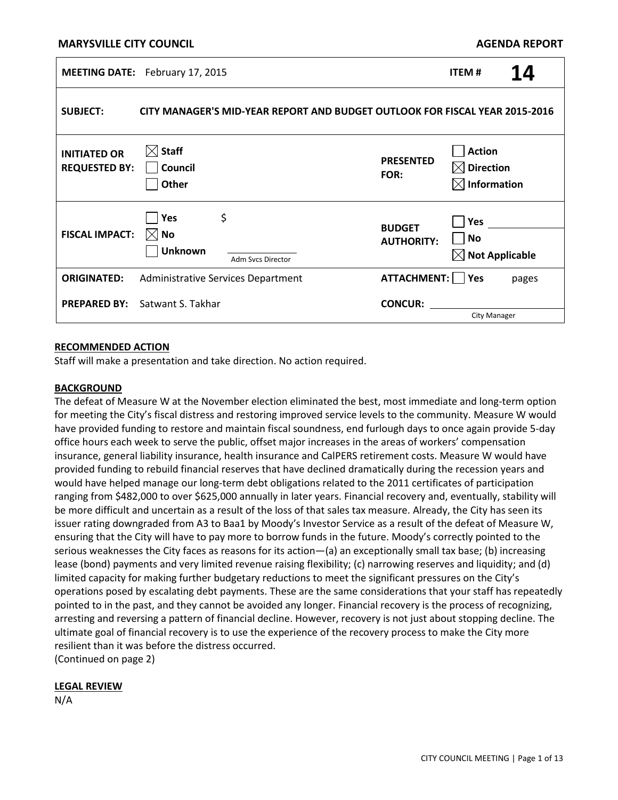### **MARYSVILLE CITY COUNCIL**

| <b>MEETING DATE:</b>                        | February 17, 2015                                                                           |                                    | <b>ITEM#</b>                                                          | 14    |
|---------------------------------------------|---------------------------------------------------------------------------------------------|------------------------------------|-----------------------------------------------------------------------|-------|
| <b>SUBJECT:</b>                             | CITY MANAGER'S MID-YEAR REPORT AND BUDGET OUTLOOK FOR FISCAL YEAR 2015-2016                 |                                    |                                                                       |       |
| <b>INITIATED OR</b><br><b>REQUESTED BY:</b> | $\boxtimes$ Staff<br>Council<br>$\exists$ Other                                             | <b>PRESENTED</b><br>FOR:           | Action<br>$\boxtimes$ Direction<br>$\boxtimes$ Information            |       |
| <b>FISCAL IMPACT:</b>                       | \$<br>$\overline{\phantom{a}}$ Yes<br>$\boxtimes$ No<br><b>Unknown</b><br>Adm Svcs Director | <b>BUDGET</b><br><b>AUTHORITY:</b> | $\blacksquare$ Yes<br>$\blacksquare$ No<br>$\boxtimes$ Not Applicable |       |
| <b>ORIGINATED:</b>                          | Administrative Services Department                                                          | ATTACHMENT: □ Yes                  |                                                                       | pages |
| <b>PREPARED BY:</b>                         | Satwant S. Takhar                                                                           | <b>CONCUR:</b>                     | <b>City Manager</b>                                                   |       |

#### **RECOMMENDED ACTION**

Staff will make a presentation and take direction. No action required.

#### **BACKGROUND**

The defeat of Measure W at the November election eliminated the best, most immediate and long-term option for meeting the City's fiscal distress and restoring improved service levels to the community. Measure W would have provided funding to restore and maintain fiscal soundness, end furlough days to once again provide 5-day office hours each week to serve the public, offset major increases in the areas of workers' compensation insurance, general liability insurance, health insurance and CalPERS retirement costs. Measure W would have provided funding to rebuild financial reserves that have declined dramatically during the recession years and would have helped manage our long-term debt obligations related to the 2011 certificates of participation ranging from \$482,000 to over \$625,000 annually in later years. Financial recovery and, eventually, stability will be more difficult and uncertain as a result of the loss of that sales tax measure. Already, the City has seen its issuer rating downgraded from A3 to Baa1 by Moody's Investor Service as a result of the defeat of Measure W, ensuring that the City will have to pay more to borrow funds in the future. Moody's correctly pointed to the serious weaknesses the City faces as reasons for its action—(a) an exceptionally small tax base; (b) increasing lease (bond) payments and very limited revenue raising flexibility; (c) narrowing reserves and liquidity; and (d) limited capacity for making further budgetary reductions to meet the significant pressures on the City's operations posed by escalating debt payments. These are the same considerations that your staff has repeatedly pointed to in the past, and they cannot be avoided any longer. Financial recovery is the process of recognizing, arresting and reversing a pattern of financial decline. However, recovery is not just about stopping decline. The ultimate goal of financial recovery is to use the experience of the recovery process to make the City more resilient than it was before the distress occurred. (Continued on page 2)

#### **LEGAL REVIEW**

N/A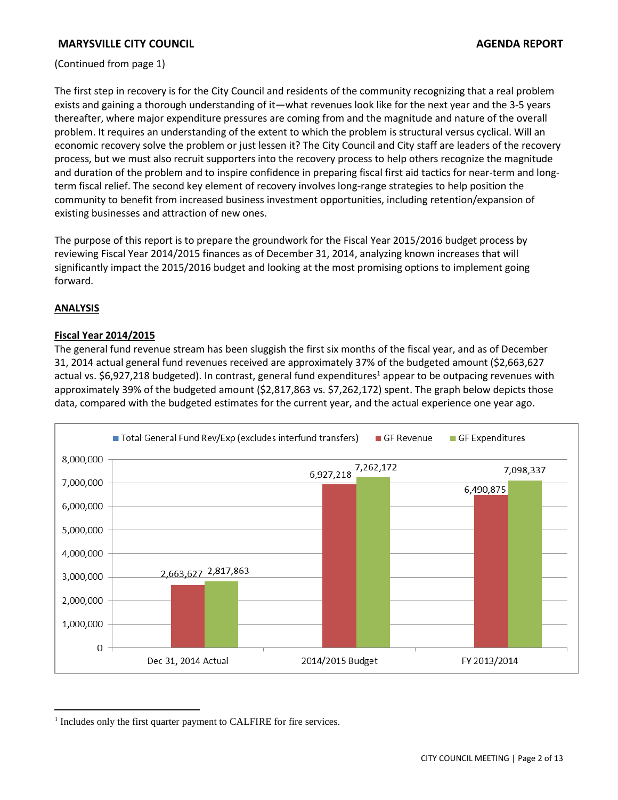(Continued from page 1)

The first step in recovery is for the City Council and residents of the community recognizing that a real problem exists and gaining a thorough understanding of it—what revenues look like for the next year and the 3-5 years thereafter, where major expenditure pressures are coming from and the magnitude and nature of the overall problem. It requires an understanding of the extent to which the problem is structural versus cyclical. Will an economic recovery solve the problem or just lessen it? The City Council and City staff are leaders of the recovery process, but we must also recruit supporters into the recovery process to help others recognize the magnitude and duration of the problem and to inspire confidence in preparing fiscal first aid tactics for near-term and longterm fiscal relief. The second key element of recovery involves long-range strategies to help position the community to benefit from increased business investment opportunities, including retention/expansion of existing businesses and attraction of new ones.

The purpose of this report is to prepare the groundwork for the Fiscal Year 2015/2016 budget process by reviewing Fiscal Year 2014/2015 finances as of December 31, 2014, analyzing known increases that will significantly impact the 2015/2016 budget and looking at the most promising options to implement going forward.

## **ANALYSIS**

 $\overline{a}$ 

## **Fiscal Year 2014/2015**

The general fund revenue stream has been sluggish the first six months of the fiscal year, and as of December 31, 2014 actual general fund revenues received are approximately 37% of the budgeted amount (\$2,663,627 actual vs. \$6,927,218 budgeted). In contrast, general fund expenditures<sup>1</sup> appear to be outpacing revenues with approximately 39% of the budgeted amount (\$2,817,863 vs. \$7,262,172) spent. The graph below depicts those data, compared with the budgeted estimates for the current year, and the actual experience one year ago.



<sup>&</sup>lt;sup>1</sup> Includes only the first quarter payment to CALFIRE for fire services.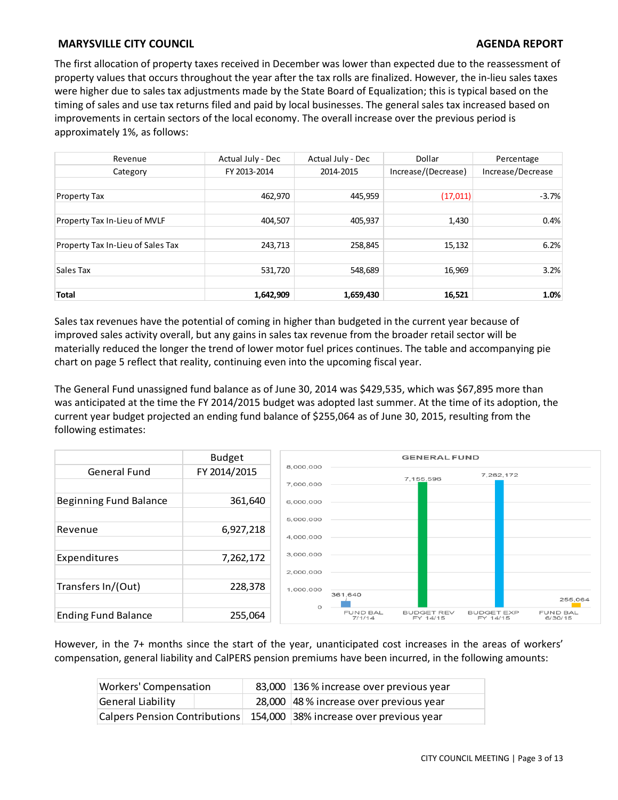The first allocation of property taxes received in December was lower than expected due to the reassessment of property values that occurs throughout the year after the tax rolls are finalized. However, the in-lieu sales taxes were higher due to sales tax adjustments made by the State Board of Equalization; this is typical based on the timing of sales and use tax returns filed and paid by local businesses. The general sales tax increased based on improvements in certain sectors of the local economy. The overall increase over the previous period is approximately 1%, as follows:

| Revenue                           | Actual July - Dec | Actual July - Dec | Dollar              | Percentage<br>Increase/Decrease |  |
|-----------------------------------|-------------------|-------------------|---------------------|---------------------------------|--|
| Category                          | FY 2013-2014      | 2014-2015         | Increase/(Decrease) |                                 |  |
|                                   |                   |                   |                     |                                 |  |
| <b>Property Tax</b>               | 462,970           | 445,959           | (17, 011)           | $-3.7%$                         |  |
|                                   |                   |                   |                     |                                 |  |
| Property Tax In-Lieu of MVLF      | 404,507           | 405,937           | 1,430               | 0.4%                            |  |
|                                   |                   |                   |                     |                                 |  |
| Property Tax In-Lieu of Sales Tax | 243,713           | 258,845           | 15,132              | 6.2%                            |  |
|                                   |                   |                   |                     |                                 |  |
| Sales Tax                         | 531,720           | 548,689           | 16,969              | 3.2%                            |  |
|                                   |                   |                   |                     |                                 |  |
| <b>Total</b>                      | 1,642,909         | 1,659,430         | 16,521              | 1.0%                            |  |

Sales tax revenues have the potential of coming in higher than budgeted in the current year because of improved sales activity overall, but any gains in sales tax revenue from the broader retail sector will be materially reduced the longer the trend of lower motor fuel prices continues. The table and accompanying pie chart on page 5 reflect that reality, continuing even into the upcoming fiscal year.

The General Fund unassigned fund balance as of June 30, 2014 was \$429,535, which was \$67,895 more than was anticipated at the time the FY 2014/2015 budget was adopted last summer. At the time of its adoption, the current year budget projected an ending fund balance of \$255,064 as of June 30, 2015, resulting from the following estimates:

|                            | <b>Budget</b> |           | <b>GENERAL FUND</b>       |                               |                               |                            |  |  |
|----------------------------|---------------|-----------|---------------------------|-------------------------------|-------------------------------|----------------------------|--|--|
| General Fund               | FY 2014/2015  | 8,000,000 |                           |                               | 7,262,172                     |                            |  |  |
|                            |               | 7,000,000 |                           | 7,155,596                     |                               |                            |  |  |
| Beginning Fund Balance     | 361,640       | 6,000,000 |                           |                               |                               |                            |  |  |
|                            |               | 5,000,000 |                           |                               |                               |                            |  |  |
| Revenue                    | 6,927,218     | 4,000,000 |                           |                               |                               |                            |  |  |
|                            |               |           |                           |                               |                               |                            |  |  |
| Expenditures               | 7,262,172     | 3,000,000 |                           |                               |                               |                            |  |  |
|                            |               | 2,000,000 |                           |                               |                               |                            |  |  |
| Transfers In/(Out)         | 228,378       | 1,000,000 |                           |                               |                               |                            |  |  |
|                            |               | $\circ$   | 361,640                   |                               |                               | 255,064                    |  |  |
| <b>Ending Fund Balance</b> | 255,064       |           | <b>FUND BAL</b><br>7/1/14 | <b>BUDGET REV</b><br>FY 14/15 | <b>BUDGET EXP</b><br>FY 14/15 | <b>FUND BAL</b><br>6/30/15 |  |  |

However, in the 7+ months since the start of the year, unanticipated cost increases in the areas of workers' compensation, general liability and CalPERS pension premiums have been incurred, in the following amounts:

| Workers' Compensation | 83,000 136 % increase over previous year                                |
|-----------------------|-------------------------------------------------------------------------|
| General Liability     | 28,000 48% increase over previous year                                  |
|                       | Calpers Pension Contributions   154,000 38% increase over previous year |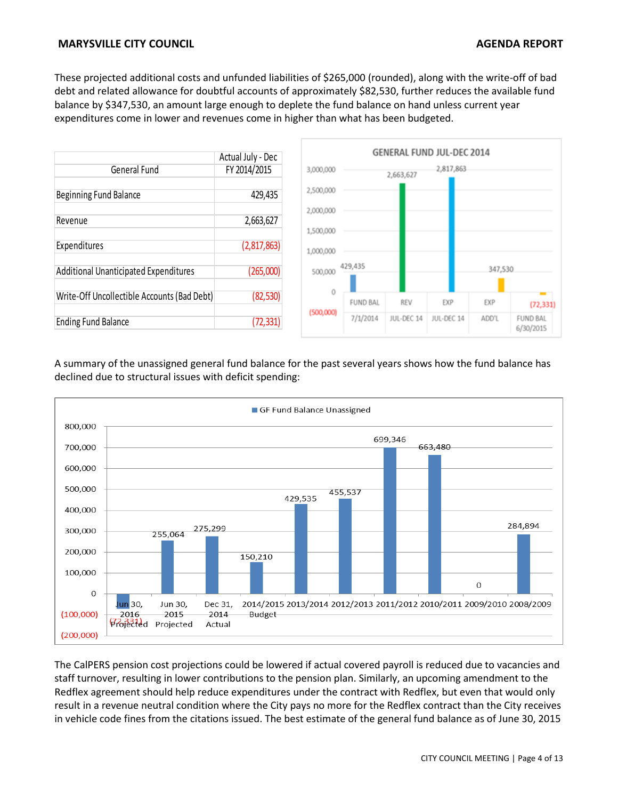These projected additional costs and unfunded liabilities of \$265,000 (rounded), along with the write-off of bad debt and related allowance for doubtful accounts of approximately \$82,530, further reduces the available fund balance by \$347,530, an amount large enough to deplete the fund balance on hand unless current year expenditures come in lower and revenues come in higher than what has been budgeted.



A summary of the unassigned general fund balance for the past several years shows how the fund balance has declined due to structural issues with deficit spending:



The CalPERS pension cost projections could be lowered if actual covered payroll is reduced due to vacancies and staff turnover, resulting in lower contributions to the pension plan. Similarly, an upcoming amendment to the Redflex agreement should help reduce expenditures under the contract with Redflex, but even that would only result in a revenue neutral condition where the City pays no more for the Redflex contract than the City receives in vehicle code fines from the citations issued. The best estimate of the general fund balance as of June 30, 2015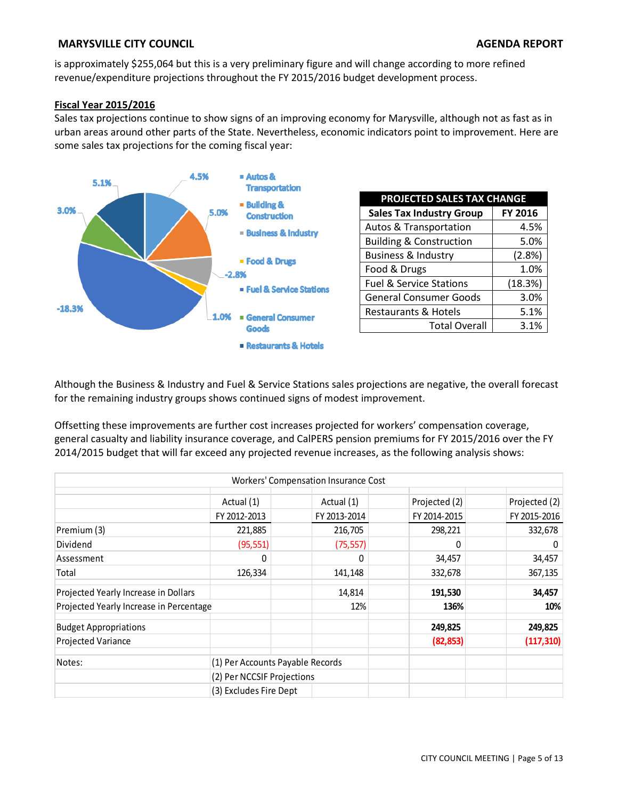is approximately \$255,064 but this is a very preliminary figure and will change according to more refined revenue/expenditure projections throughout the FY 2015/2016 budget development process.

## **Fiscal Year 2015/2016**

Sales tax projections continue to show signs of an improving economy for Marysville, although not as fast as in urban areas around other parts of the State. Nevertheless, economic indicators point to improvement. Here are some sales tax projections for the coming fiscal year:



| PROJECTED SALES TAX CHANGE         |                |  |  |  |  |  |
|------------------------------------|----------------|--|--|--|--|--|
| <b>Sales Tax Industry Group</b>    | <b>FY 2016</b> |  |  |  |  |  |
| <b>Autos &amp; Transportation</b>  | 4.5%           |  |  |  |  |  |
| <b>Building &amp; Construction</b> | 5.0%           |  |  |  |  |  |
| <b>Business &amp; Industry</b>     | (2.8%)         |  |  |  |  |  |
| Food & Drugs                       | 1.0%           |  |  |  |  |  |
| <b>Fuel &amp; Service Stations</b> | (18.3%)        |  |  |  |  |  |
| <b>General Consumer Goods</b>      | 3.0%           |  |  |  |  |  |
| Restaurants & Hotels               | 5.1%           |  |  |  |  |  |
| <b>Total Overall</b>               | 3.1%           |  |  |  |  |  |

Although the Business & Industry and Fuel & Service Stations sales projections are negative, the overall forecast for the remaining industry groups shows continued signs of modest improvement.

Offsetting these improvements are further cost increases projected for workers' compensation coverage, general casualty and liability insurance coverage, and CalPERS pension premiums for FY 2015/2016 over the FY 2014/2015 budget that will far exceed any projected revenue increases, as the following analysis shows:

|                                         |                                  | Workers' Compensation Insurance Cost |               |               |
|-----------------------------------------|----------------------------------|--------------------------------------|---------------|---------------|
|                                         | Actual (1)                       | Actual (1)                           | Projected (2) | Projected (2) |
|                                         | FY 2012-2013                     | FY 2013-2014                         | FY 2014-2015  | FY 2015-2016  |
| Premium (3)                             | 221,885                          | 216,705                              | 298,221       | 332,678       |
| Dividend                                | (95, 551)                        | (75, 557)                            | 0             | 0             |
| Assessment                              | $\Omega$                         | 0                                    | 34,457        | 34,457        |
| Total                                   | 126,334                          | 141,148                              | 332,678       | 367,135       |
| Projected Yearly Increase in Dollars    |                                  | 14,814                               | 191,530       | 34,457        |
| Projected Yearly Increase in Percentage |                                  | 12%                                  | 136%          | 10%           |
| <b>Budget Appropriations</b>            |                                  |                                      | 249,825       | 249,825       |
| Projected Variance                      |                                  |                                      | (82, 853)     | (117, 310)    |
| Notes:                                  | (1) Per Accounts Payable Records |                                      |               |               |
|                                         | (2) Per NCCSIF Projections       |                                      |               |               |
|                                         | (3) Excludes Fire Dept           |                                      |               |               |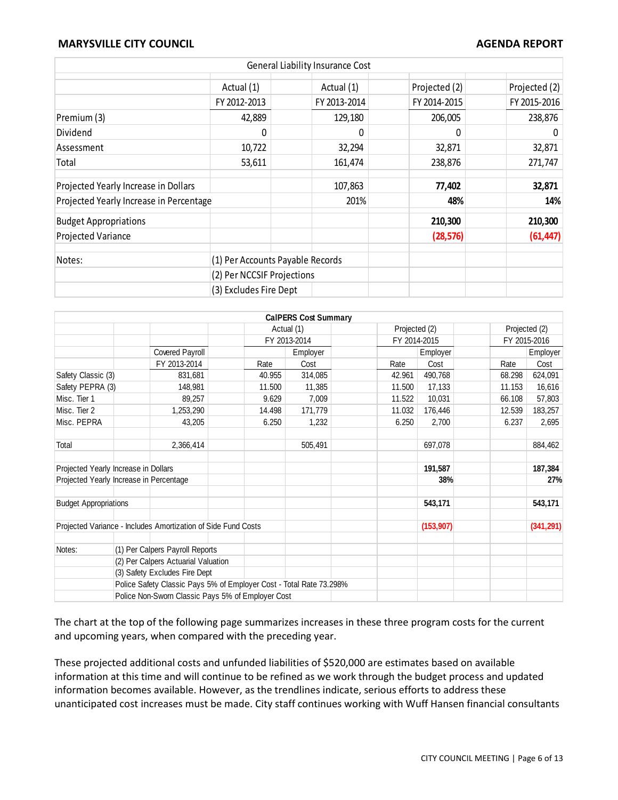|                                         |                                  | General Liability Insurance Cost |               |               |
|-----------------------------------------|----------------------------------|----------------------------------|---------------|---------------|
|                                         | Actual (1)                       | Actual (1)                       | Projected (2) | Projected (2) |
|                                         | FY 2012-2013                     | FY 2013-2014                     | FY 2014-2015  | FY 2015-2016  |
| Premium (3)                             | 42,889                           | 129,180                          | 206,005       | 238,876       |
| Dividend                                | 0                                | 0                                | 0             | 0             |
| Assessment                              | 10,722                           | 32,294                           | 32,871        | 32,871        |
| Total                                   | 53,611                           | 161,474                          | 238,876       | 271,747       |
| Projected Yearly Increase in Dollars    |                                  | 107,863                          | 77,402        | 32,871        |
| Projected Yearly Increase in Percentage |                                  | 201%                             | 48%           | 14%           |
| <b>Budget Appropriations</b>            |                                  |                                  | 210,300       | 210,300       |
| <b>Projected Variance</b>               |                                  |                                  | (28, 576)     | (61, 447)     |
| Notes:                                  | (1) Per Accounts Payable Records |                                  |               |               |
|                                         | (2) Per NCCSIF Projections       |                                  |               |               |
|                                         | (3) Excludes Fire Dept           |                                  |               |               |

|                                         |                                                                     |              | <b>CalPERS Cost Summary</b> |               |              |        |               |  |
|-----------------------------------------|---------------------------------------------------------------------|--------------|-----------------------------|---------------|--------------|--------|---------------|--|
|                                         |                                                                     |              | Actual (1)                  | Projected (2) |              |        | Projected (2) |  |
|                                         |                                                                     | FY 2013-2014 |                             |               | FY 2014-2015 |        | FY 2015-2016  |  |
|                                         | Covered Payroll                                                     |              | Employer                    |               | Employer     |        | Employer      |  |
|                                         | FY 2013-2014                                                        | Rate         | Cost                        | Rate          | Cost         | Rate   | Cost          |  |
| Safety Classic (3)                      | 831,681                                                             | 40.955       | 314,085                     | 42.961        | 490,768      | 68.298 | 624,091       |  |
| Safety PEPRA (3)                        | 148,981                                                             | 11.500       | 11,385                      | 11.500        | 17,133       | 11.153 | 16,616        |  |
| Misc. Tier 1                            | 89,257                                                              | 9.629        | 7,009                       | 11.522        | 10,031       | 66.108 | 57,803        |  |
| Misc. Tier 2                            | 1,253,290                                                           | 14.498       | 171,779                     | 11.032        | 176,446      | 12.539 | 183,257       |  |
| Misc. PEPRA                             | 43,205                                                              | 6.250        | 1,232                       | 6.250         | 2,700        | 6.237  | 2,695         |  |
| Total                                   | 2,366,414                                                           |              | 505,491                     |               | 697,078      |        | 884,462       |  |
| Projected Yearly Increase in Dollars    |                                                                     |              |                             |               | 191,587      |        | 187,384       |  |
| Projected Yearly Increase in Percentage |                                                                     |              |                             |               | 38%          |        | 27%           |  |
| <b>Budget Appropriations</b>            |                                                                     |              |                             |               | 543,171      |        | 543,171       |  |
|                                         | Projected Variance - Includes Amortization of Side Fund Costs       |              |                             |               | (153, 907)   |        | (341, 291)    |  |
| Notes:                                  | (1) Per Calpers Payroll Reports                                     |              |                             |               |              |        |               |  |
|                                         | (2) Per Calpers Actuarial Valuation                                 |              |                             |               |              |        |               |  |
|                                         | (3) Safety Excludes Fire Dept                                       |              |                             |               |              |        |               |  |
|                                         | Police Safety Classic Pays 5% of Employer Cost - Total Rate 73.298% |              |                             |               |              |        |               |  |
|                                         | Police Non-Sworn Classic Pays 5% of Employer Cost                   |              |                             |               |              |        |               |  |

The chart at the top of the following page summarizes increases in these three program costs for the current and upcoming years, when compared with the preceding year.

These projected additional costs and unfunded liabilities of \$520,000 are estimates based on available information at this time and will continue to be refined as we work through the budget process and updated information becomes available. However, as the trendlines indicate, serious efforts to address these unanticipated cost increases must be made. City staff continues working with Wuff Hansen financial consultants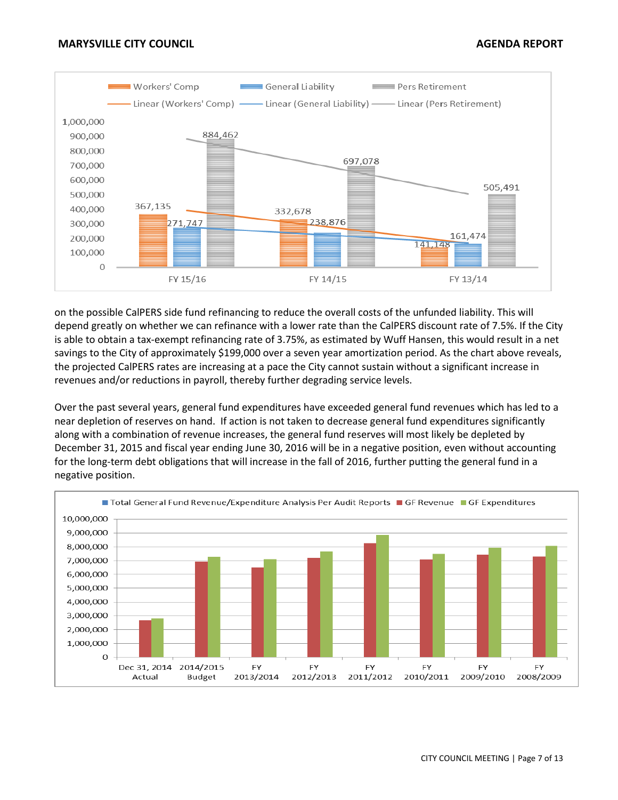

on the possible CalPERS side fund refinancing to reduce the overall costs of the unfunded liability. This will depend greatly on whether we can refinance with a lower rate than the CalPERS discount rate of 7.5%. If the City is able to obtain a tax-exempt refinancing rate of 3.75%, as estimated by Wuff Hansen, this would result in a net savings to the City of approximately \$199,000 over a seven year amortization period. As the chart above reveals, the projected CalPERS rates are increasing at a pace the City cannot sustain without a significant increase in revenues and/or reductions in payroll, thereby further degrading service levels.

Over the past several years, general fund expenditures have exceeded general fund revenues which has led to a near depletion of reserves on hand. If action is not taken to decrease general fund expenditures significantly along with a combination of revenue increases, the general fund reserves will most likely be depleted by December 31, 2015 and fiscal year ending June 30, 2016 will be in a negative position, even without accounting for the long-term debt obligations that will increase in the fall of 2016, further putting the general fund in a negative position.

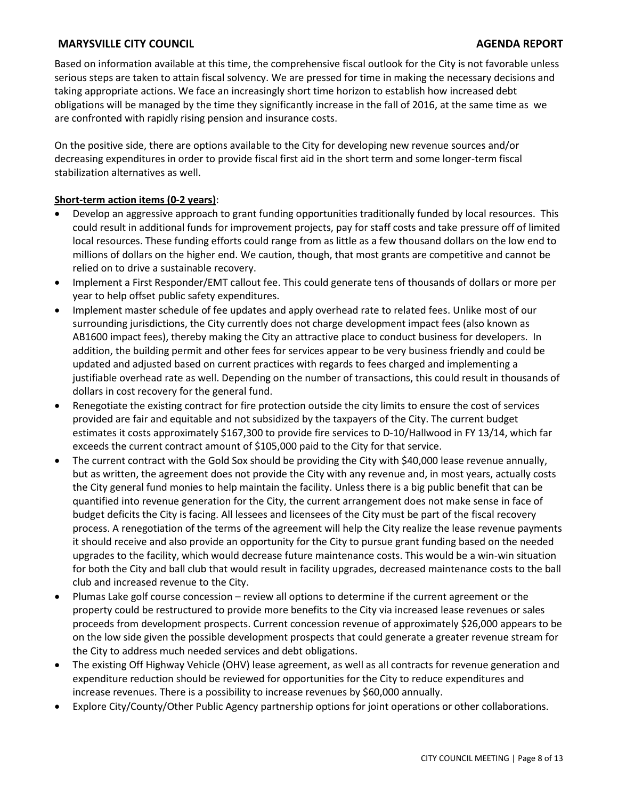Based on information available at this time, the comprehensive fiscal outlook for the City is not favorable unless serious steps are taken to attain fiscal solvency. We are pressed for time in making the necessary decisions and taking appropriate actions. We face an increasingly short time horizon to establish how increased debt obligations will be managed by the time they significantly increase in the fall of 2016, at the same time as we are confronted with rapidly rising pension and insurance costs.

On the positive side, there are options available to the City for developing new revenue sources and/or decreasing expenditures in order to provide fiscal first aid in the short term and some longer-term fiscal stabilization alternatives as well.

## **Short-term action items (0-2 years)**:

- Develop an aggressive approach to grant funding opportunities traditionally funded by local resources. This could result in additional funds for improvement projects, pay for staff costs and take pressure off of limited local resources. These funding efforts could range from as little as a few thousand dollars on the low end to millions of dollars on the higher end. We caution, though, that most grants are competitive and cannot be relied on to drive a sustainable recovery.
- Implement a First Responder/EMT callout fee. This could generate tens of thousands of dollars or more per year to help offset public safety expenditures.
- Implement master schedule of fee updates and apply overhead rate to related fees. Unlike most of our surrounding jurisdictions, the City currently does not charge development impact fees (also known as AB1600 impact fees), thereby making the City an attractive place to conduct business for developers. In addition, the building permit and other fees for services appear to be very business friendly and could be updated and adjusted based on current practices with regards to fees charged and implementing a justifiable overhead rate as well. Depending on the number of transactions, this could result in thousands of dollars in cost recovery for the general fund.
- Renegotiate the existing contract for fire protection outside the city limits to ensure the cost of services provided are fair and equitable and not subsidized by the taxpayers of the City. The current budget estimates it costs approximately \$167,300 to provide fire services to D-10/Hallwood in FY 13/14, which far exceeds the current contract amount of \$105,000 paid to the City for that service.
- The current contract with the Gold Sox should be providing the City with \$40,000 lease revenue annually, but as written, the agreement does not provide the City with any revenue and, in most years, actually costs the City general fund monies to help maintain the facility. Unless there is a big public benefit that can be quantified into revenue generation for the City, the current arrangement does not make sense in face of budget deficits the City is facing. All lessees and licensees of the City must be part of the fiscal recovery process. A renegotiation of the terms of the agreement will help the City realize the lease revenue payments it should receive and also provide an opportunity for the City to pursue grant funding based on the needed upgrades to the facility, which would decrease future maintenance costs. This would be a win-win situation for both the City and ball club that would result in facility upgrades, decreased maintenance costs to the ball club and increased revenue to the City.
- Plumas Lake golf course concession review all options to determine if the current agreement or the property could be restructured to provide more benefits to the City via increased lease revenues or sales proceeds from development prospects. Current concession revenue of approximately \$26,000 appears to be on the low side given the possible development prospects that could generate a greater revenue stream for the City to address much needed services and debt obligations.
- The existing Off Highway Vehicle (OHV) lease agreement, as well as all contracts for revenue generation and expenditure reduction should be reviewed for opportunities for the City to reduce expenditures and increase revenues. There is a possibility to increase revenues by \$60,000 annually.
- Explore City/County/Other Public Agency partnership options for joint operations or other collaborations.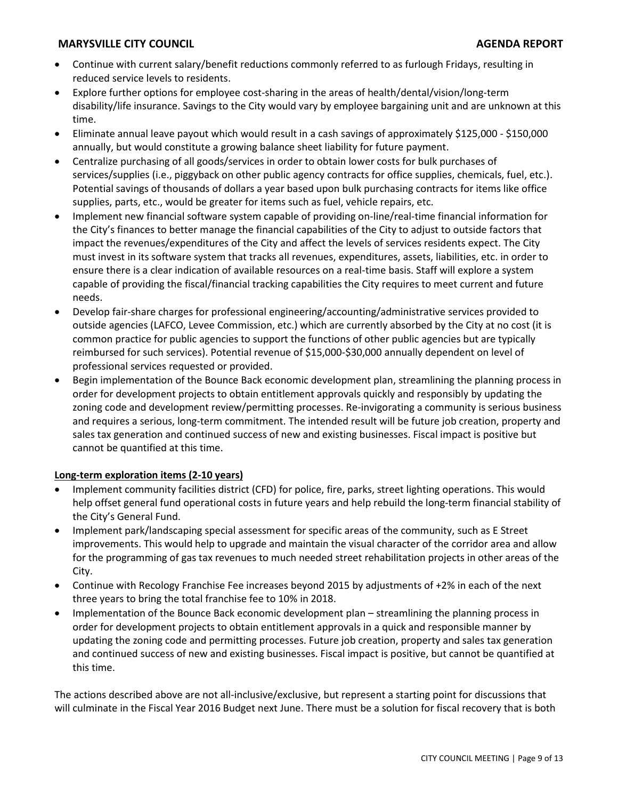- Continue with current salary/benefit reductions commonly referred to as furlough Fridays, resulting in reduced service levels to residents.
- Explore further options for employee cost-sharing in the areas of health/dental/vision/long-term disability/life insurance. Savings to the City would vary by employee bargaining unit and are unknown at this time.
- Eliminate annual leave payout which would result in a cash savings of approximately \$125,000 \$150,000 annually, but would constitute a growing balance sheet liability for future payment.
- Centralize purchasing of all goods/services in order to obtain lower costs for bulk purchases of services/supplies (i.e., piggyback on other public agency contracts for office supplies, chemicals, fuel, etc.). Potential savings of thousands of dollars a year based upon bulk purchasing contracts for items like office supplies, parts, etc., would be greater for items such as fuel, vehicle repairs, etc.
- Implement new financial software system capable of providing on-line/real-time financial information for the City's finances to better manage the financial capabilities of the City to adjust to outside factors that impact the revenues/expenditures of the City and affect the levels of services residents expect. The City must invest in its software system that tracks all revenues, expenditures, assets, liabilities, etc. in order to ensure there is a clear indication of available resources on a real-time basis. Staff will explore a system capable of providing the fiscal/financial tracking capabilities the City requires to meet current and future needs.
- Develop fair-share charges for professional engineering/accounting/administrative services provided to outside agencies (LAFCO, Levee Commission, etc.) which are currently absorbed by the City at no cost (it is common practice for public agencies to support the functions of other public agencies but are typically reimbursed for such services). Potential revenue of \$15,000-\$30,000 annually dependent on level of professional services requested or provided.
- Begin implementation of the Bounce Back economic development plan, streamlining the planning process in order for development projects to obtain entitlement approvals quickly and responsibly by updating the zoning code and development review/permitting processes. Re-invigorating a community is serious business and requires a serious, long-term commitment. The intended result will be future job creation, property and sales tax generation and continued success of new and existing businesses. Fiscal impact is positive but cannot be quantified at this time.

## **Long-term exploration items (2-10 years)**

- Implement community facilities district (CFD) for police, fire, parks, street lighting operations. This would help offset general fund operational costs in future years and help rebuild the long-term financial stability of the City's General Fund.
- Implement park/landscaping special assessment for specific areas of the community, such as E Street improvements. This would help to upgrade and maintain the visual character of the corridor area and allow for the programming of gas tax revenues to much needed street rehabilitation projects in other areas of the City.
- Continue with Recology Franchise Fee increases beyond 2015 by adjustments of +2% in each of the next three years to bring the total franchise fee to 10% in 2018.
- Implementation of the Bounce Back economic development plan streamlining the planning process in order for development projects to obtain entitlement approvals in a quick and responsible manner by updating the zoning code and permitting processes. Future job creation, property and sales tax generation and continued success of new and existing businesses. Fiscal impact is positive, but cannot be quantified at this time.

The actions described above are not all-inclusive/exclusive, but represent a starting point for discussions that will culminate in the Fiscal Year 2016 Budget next June. There must be a solution for fiscal recovery that is both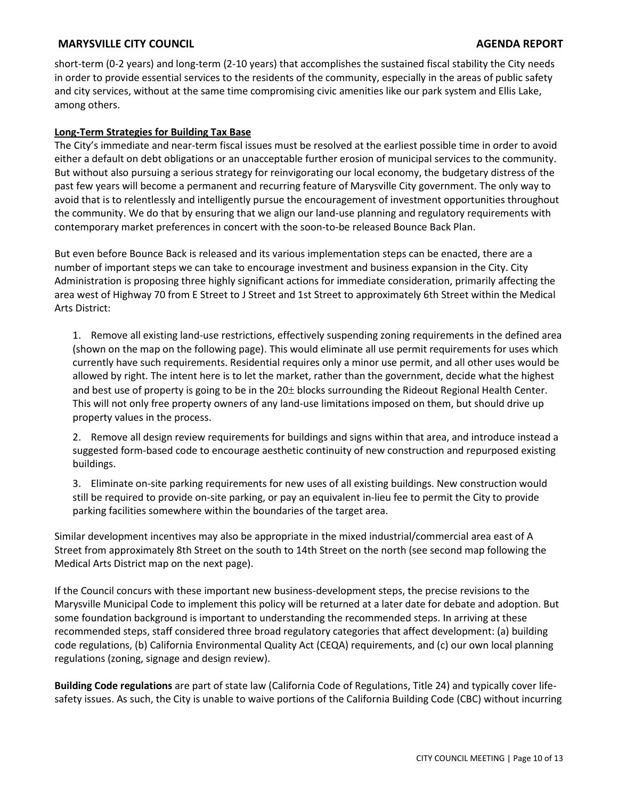short-term (0-2 years) and long-term (2-10 years) that accomplishes the sustained fiscal stability the City needs in order to provide essential services to the residents of the community, especially in the areas of public safety and city services, without at the same time compromising civic amenities like our park system and Ellis Lake, among others.

### **Long-Term Strategies for Building Tax Base**

The City's immediate and near-term fiscal issues must be resolved at the earliest possible time in order to avoid either a default on debt obligations or an unacceptable further erosion of municipal services to the community. But without also pursuing a serious strategy for reinvigorating our local economy, the budgetary distress of the past few years will become a permanent and recurring feature of Marysville City government. The only way to avoid that is to relentlessly and intelligently pursue the encouragement of investment opportunities throughout the community. We do that by ensuring that we align our land-use planning and regulatory requirements with contemporary market preferences in concert with the soon-to-be released Bounce Back Plan.

But even before Bounce Back is released and its various implementation steps can be enacted, there are a number of important steps we can take to encourage investment and business expansion in the City. City Administration is proposing three highly significant actions for immediate consideration, primarily affecting the area west of Highway 70 from E Street to J Street and 1st Street to approximately 6th Street within the Medical Arts District:

1. Remove all existing land-use restrictions, effectively suspending zoning requirements in the defined area (shown on the map on the following page). This would eliminate all use permit requirements for uses which currently have such requirements. Residential requires only a minor use permit, and all other uses would be allowed by right. The intent here is to let the market, rather than the government, decide what the highest and best use of property is going to be in the  $20<sup>±</sup>$  blocks surrounding the Rideout Regional Health Center. This will not only free property owners of any land-use limitations imposed on them, but should drive up property values in the process.

2. Remove all design review requirements for buildings and signs within that area, and introduce instead a suggested form-based code to encourage aesthetic continuity of new construction and repurposed existing buildings.

3. Eliminate on-site parking requirements for new uses of all existing buildings. New construction would still be required to provide on-site parking, or pay an equivalent in-lieu fee to permit the City to provide parking facilities somewhere within the boundaries of the target area.

Similar development incentives may also be appropriate in the mixed industrial/commercial area east of A Street from approximately 8th Street on the south to 14th Street on the north (see second map following the Medical Arts District map on the next page).

If the Council concurs with these important new business-development steps, the precise revisions to the Marysville Municipal Code to implement this policy will be returned at a later date for debate and adoption. But some foundation background is important to understanding the recommended steps. In arriving at these recommended steps, staff considered three broad regulatory categories that affect development: (a) building code regulations, (b) California Environmental Quality Act (CEQA) requirements, and (c) our own local planning regulations (zoning, signage and design review).

**Building Code regulations** are part of state law (California Code of Regulations, Title 24) and typically cover lifesafety issues. As such, the City is unable to waive portions of the California Building Code (CBC) without incurring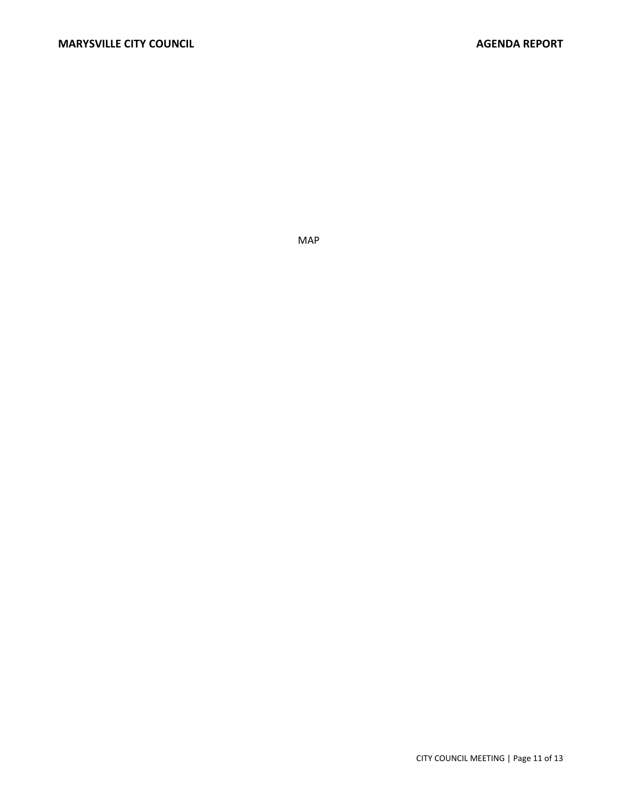MAP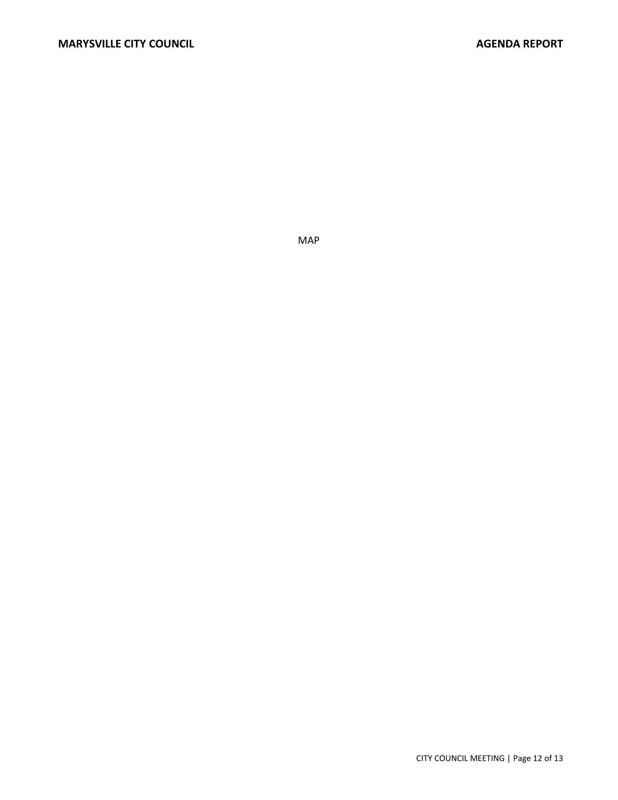MAP